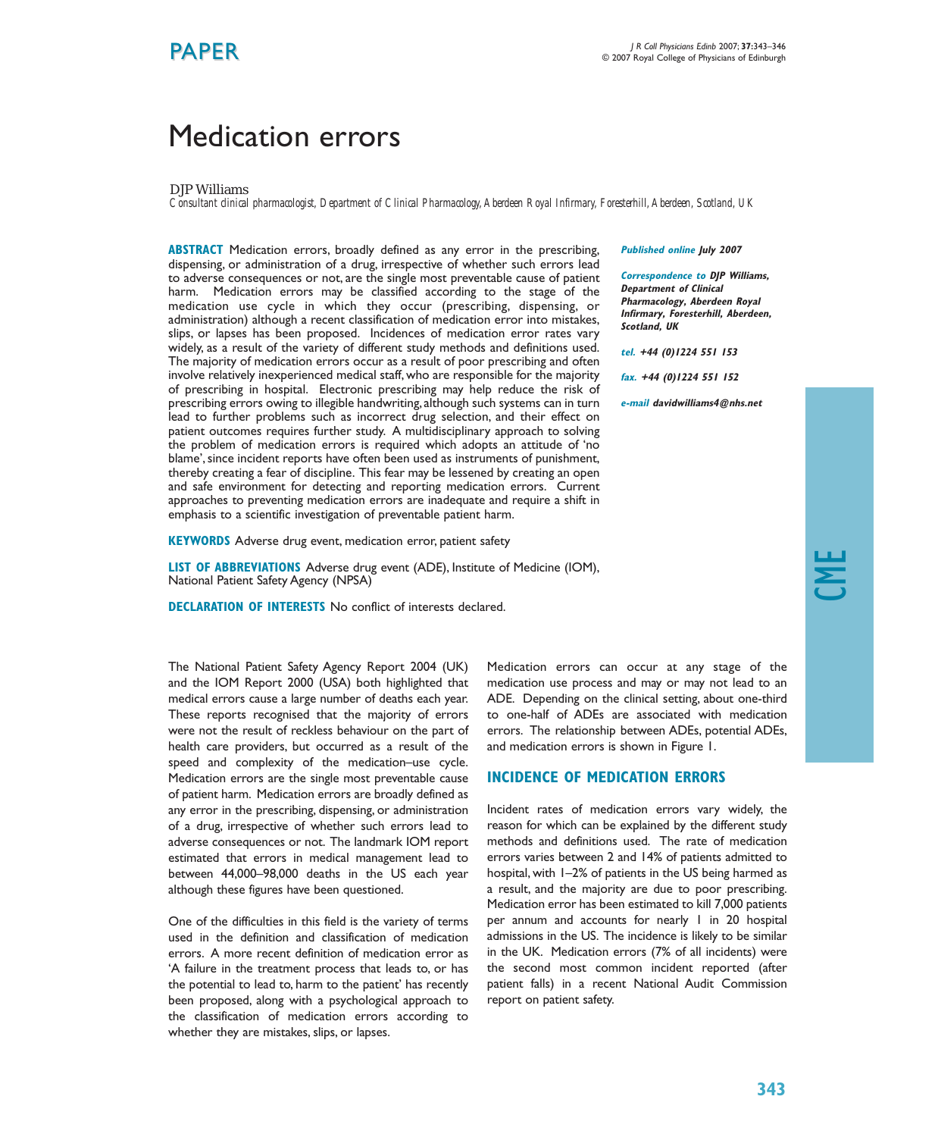# Medication errors

DJP Williams

*Consultant clinical pharmacologist, Department of Clinical Pharmacology,Aberdeen Royal Infirmary, Foresterhill,Aberdeen, Scotland, UK*

**ABSTRACT** Medication errors, broadly defined as any error in the prescribing, dispensing, or administration of a drug, irrespective of whether such errors lead to adverse consequences or not, are the single most preventable cause of patient harm. Medication errors may be classified according to the stage of the medication use cycle in which they occur (prescribing, dispensing, or administration) although a recent classification of medication error into mistakes, slips, or lapses has been proposed. Incidences of medication error rates vary widely, as a result of the variety of different study methods and definitions used. The majority of medication errors occur as a result of poor prescribing and often involve relatively inexperienced medical staff, who are responsible for the majority of prescribing in hospital. Electronic prescribing may help reduce the risk of prescribing errors owing to illegible handwriting,although such systems can in turn lead to further problems such as incorrect drug selection, and their effect on patient outcomes requires further study. A multidisciplinary approach to solving the problem of medication errors is required which adopts an attitude of 'no blame', since incident reports have often been used as instruments of punishment, thereby creating a fear of discipline. This fear may be lessened by creating an open and safe environment for detecting and reporting medication errors. Current approaches to preventing medication errors are inadequate and require a shift in emphasis to a scientific investigation of preventable patient harm.

**KEYWORDS** Adverse drug event, medication error, patient safety

**LIST OF ABBREVIATIONS** Adverse drug event (ADE), Institute of Medicine (IOM), National Patient Safety Agency (NPSA)

**DECLARATION OF INTERESTS** No conflict of interests declared.

The National Patient Safety Agency Report 2004 (UK) and the IOM Report 2000 (USA) both highlighted that medical errors cause a large number of deaths each year. These reports recognised that the majority of errors were not the result of reckless behaviour on the part of health care providers, but occurred as a result of the speed and complexity of the medication–use cycle. Medication errors are the single most preventable cause of patient harm. Medication errors are broadly defined as any error in the prescribing, dispensing, or administration of a drug, irrespective of whether such errors lead to adverse consequences or not. The landmark IOM report estimated that errors in medical management lead to between 44,000–98,000 deaths in the US each year although these figures have been questioned.

One of the difficulties in this field is the variety of terms used in the definition and classification of medication errors. A more recent definition of medication error as 'A failure in the treatment process that leads to, or has the potential to lead to, harm to the patient' has recently been proposed, along with a psychological approach to the classification of medication errors according to whether they are mistakes, slips, or lapses.

**Published online July 2007**

**Correspondence to DJP Williams, Department of Clinical Pharmacology, Aberdeen Royal Infirmary, Foresterhill, Aberdeen, Scotland, UK**

**tel. +44 (0)1224 551 153**

**fax. +44 (0)1224 551 152**

**e-mail davidwilliams4@nhs.net**

Medication errors can occur at any stage of the medication use process and may or may not lead to an ADE. Depending on the clinical setting, about one-third to one-half of ADEs are associated with medication errors. The relationship between ADEs, potential ADEs, and medication errors is shown in Figure 1.

#### **INCIDENCE OF MEDICATION ERRORS**

Incident rates of medication errors vary widely, the reason for which can be explained by the different study methods and definitions used. The rate of medication errors varies between 2 and 14% of patients admitted to hospital, with 1–2% of patients in the US being harmed as a result, and the majority are due to poor prescribing. Medication error has been estimated to kill 7,000 patients per annum and accounts for nearly 1 in 20 hospital admissions in the US. The incidence is likely to be similar in the UK. Medication errors (7% of all incidents) were the second most common incident reported (after patient falls) in a recent National Audit Commission report on patient safety.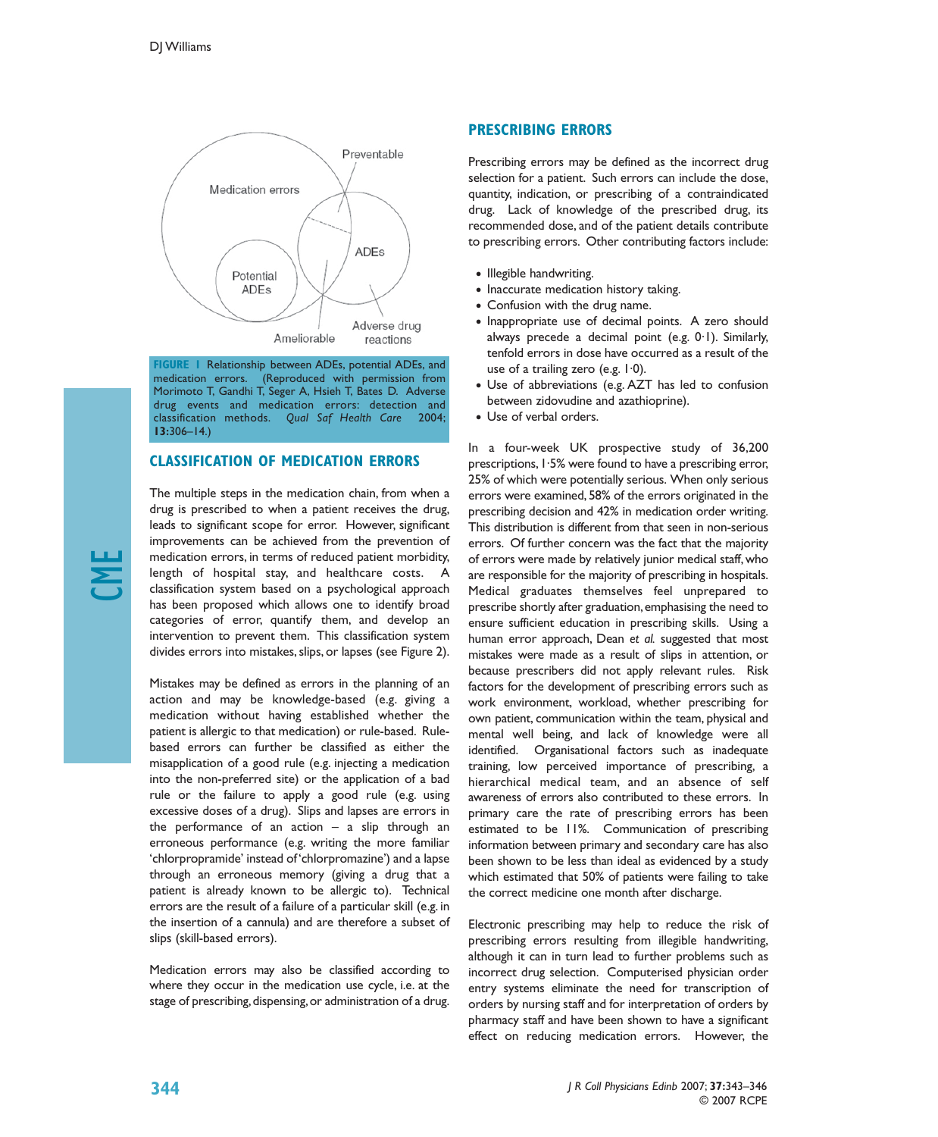

**FIGURE 1** Relationship between ADEs, potential ADEs, and medication errors. (Reproduced with permission from Morimoto T, Gandhi T, Seger A, Hsieh T, Bates D. Adverse drug events and medication errors: detection and classification methods. *Qual Saf Health Care* 2004; **13:**306–14.)

#### **CLASSIFICATION OF MEDICATION ERRORS**

The multiple steps in the medication chain, from when a drug is prescribed to when a patient receives the drug, leads to significant scope for error. However, significant improvements can be achieved from the prevention of medication errors, in terms of reduced patient morbidity, length of hospital stay, and healthcare costs. A classification system based on a psychological approach has been proposed which allows one to identify broad categories of error, quantify them, and develop an intervention to prevent them. This classification system divides errors into mistakes, slips, or lapses (see Figure 2).

Mistakes may be defined as errors in the planning of an action and may be knowledge-based (e.g. giving a medication without having established whether the patient is allergic to that medication) or rule-based. Rulebased errors can further be classified as either the misapplication of a good rule (e.g. injecting a medication into the non-preferred site) or the application of a bad rule or the failure to apply a good rule (e.g. using excessive doses of a drug). Slips and lapses are errors in the performance of an action  $-$  a slip through an erroneous performance (e.g. writing the more familiar 'chlorpropramide' instead of 'chlorpromazine') and a lapse through an erroneous memory (giving a drug that a patient is already known to be allergic to). Technical errors are the result of a failure of a particular skill (e.g. in the insertion of a cannula) and are therefore a subset of slips (skill-based errors).

Medication errors may also be classified according to where they occur in the medication use cycle, i.e. at the stage of prescribing, dispensing, or administration of a drug.

#### **PRESCRIBING ERRORS**

Prescribing errors may be defined as the incorrect drug selection for a patient. Such errors can include the dose, quantity, indication, or prescribing of a contraindicated drug. Lack of knowledge of the prescribed drug, its recommended dose, and of the patient details contribute to prescribing errors. Other contributing factors include:

- Illegible handwriting.
- Inaccurate medication history taking.
- Confusion with the drug name.
- Inappropriate use of decimal points. A zero should always precede a decimal point (e.g. 0·1). Similarly, tenfold errors in dose have occurred as a result of the use of a trailing zero (e.g. 1·0).
- Use of abbreviations (e.g. AZT has led to confusion between zidovudine and azathioprine).
- Use of verbal orders.

In a four-week UK prospective study of 36,200 prescriptions,  $1.5%$  were found to have a prescribing error, 25% of which were potentially serious. When only serious errors were examined, 58% of the errors originated in the prescribing decision and 42% in medication order writing. This distribution is different from that seen in non-serious errors. Of further concern was the fact that the majority of errors were made by relatively junior medical staff, who are responsible for the majority of prescribing in hospitals. Medical graduates themselves feel unprepared to prescribe shortly after graduation,emphasising the need to ensure sufficient education in prescribing skills. Using a human error approach, Dean *et al.* suggested that most mistakes were made as a result of slips in attention, or because prescribers did not apply relevant rules. Risk factors for the development of prescribing errors such as work environment, workload, whether prescribing for own patient, communication within the team, physical and mental well being, and lack of knowledge were all identified. Organisational factors such as inadequate training, low perceived importance of prescribing, a hierarchical medical team, and an absence of self awareness of errors also contributed to these errors. In primary care the rate of prescribing errors has been estimated to be 11%. Communication of prescribing information between primary and secondary care has also been shown to be less than ideal as evidenced by a study which estimated that 50% of patients were failing to take the correct medicine one month after discharge.

Electronic prescribing may help to reduce the risk of prescribing errors resulting from illegible handwriting, although it can in turn lead to further problems such as incorrect drug selection. Computerised physician order entry systems eliminate the need for transcription of orders by nursing staff and for interpretation of orders by pharmacy staff and have been shown to have a significant effect on reducing medication errors. However, the

> *J R Coll Physicians Edinb* 2007; **37:**343–346 © 2007 RCPE

CME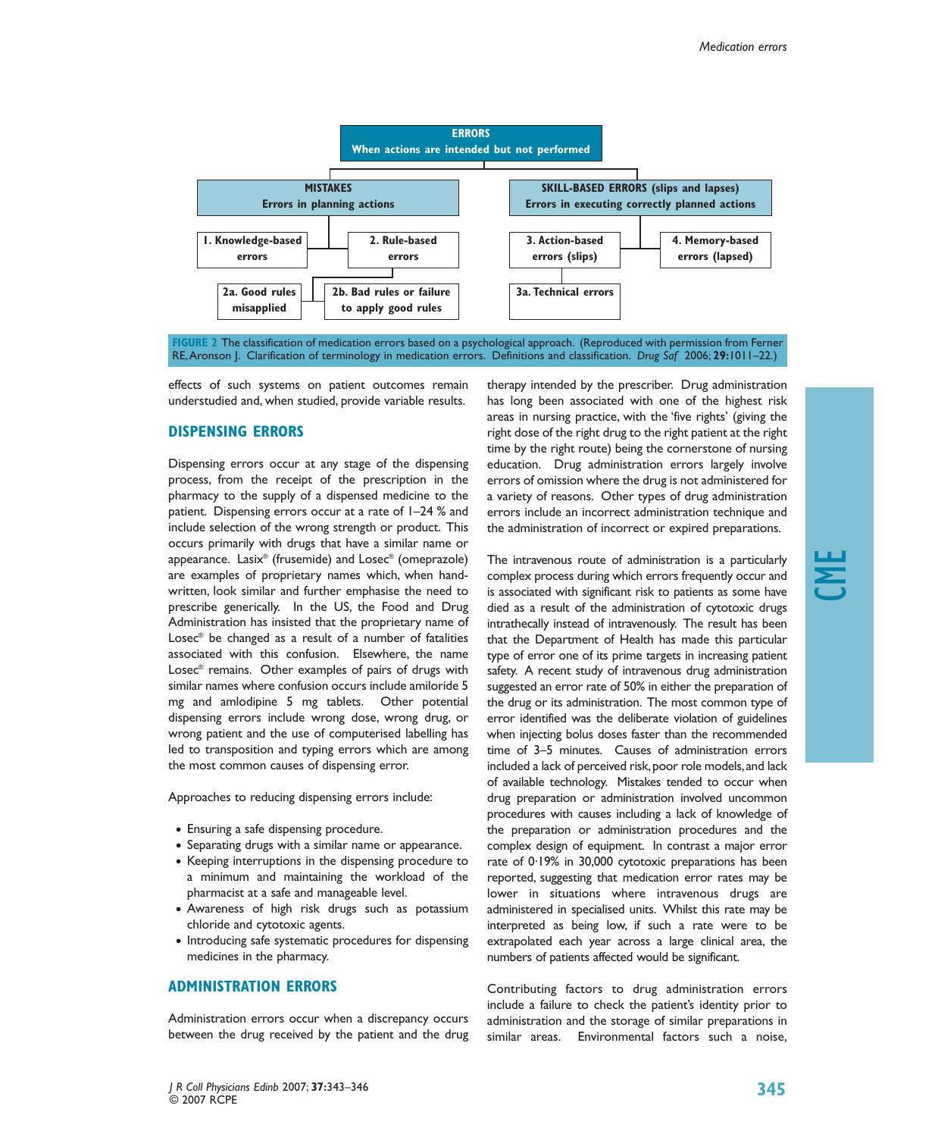

**FIGURE 2** The classification of medication errors based on a psychological approach. (Reproduced with permission from Ferner RE,Aronson J. Clarification of terminology in medication errors. Definitions and classification. *Drug Saf* 2006; **29:**1011–22.)

effects of such systems on patient outcomes remain understudied and, when studied, provide variable results.

#### **DISPENSING ERRORS**

Dispensing errors occur at any stage of the dispensing process, from the receipt of the prescription in the pharmacy to the supply of a dispensed medicine to the patient. Dispensing errors occur at a rate of 1–24 % and include selection of the wrong strength or product. This occurs primarily with drugs that have a similar name or appearance. Lasix® (frusemide) and Losec® (omeprazole) are examples of proprietary names which, when handwritten, look similar and further emphasise the need to prescribe generically. In the US, the Food and Drug Administration has insisted that the proprietary name of Losec® be changed as a result of a number of fatalities associated with this confusion. Elsewhere, the name Losec® remains. Other examples of pairs of drugs with similar names where confusion occurs include amiloride 5 mg and amlodipine 5 mg tablets. Other potential dispensing errors include wrong dose, wrong drug, or wrong patient and the use of computerised labelling has led to transposition and typing errors which are among the most common causes of dispensing error.

Approaches to reducing dispensing errors include:

- Ensuring a safe dispensing procedure.
- Separating drugs with a similar name or appearance.
- Keeping interruptions in the dispensing procedure to a minimum and maintaining the workload of the pharmacist at a safe and manageable level.
- Awareness of high risk drugs such as potassium chloride and cytotoxic agents.
- Introducing safe systematic procedures for dispensing medicines in the pharmacy.

#### **ADMINISTRATION ERRORS**

Administration errors occur when a discrepancy occurs between the drug received by the patient and the drug therapy intended by the prescriber. Drug administration has long been associated with one of the highest risk areas in nursing practice, with the 'five rights' (giving the right dose of the right drug to the right patient at the right time by the right route) being the cornerstone of nursing education. Drug administration errors largely involve errors of omission where the drug is not administered for a variety of reasons. Other types of drug administration errors include an incorrect administration technique and the administration of incorrect or expired preparations.

The intravenous route of administration is a particularly complex process during which errors frequently occur and is associated with significant risk to patients as some have died as a result of the administration of cytotoxic drugs intrathecally instead of intravenously. The result has been that the Department of Health has made this particular type of error one of its prime targets in increasing patient safety. A recent study of intravenous drug administration suggested an error rate of 50% in either the preparation of the drug or its administration. The most common type of error identified was the deliberate violation of guidelines when injecting bolus doses faster than the recommended time of 3–5 minutes. Causes of administration errors included a lack of perceived risk, poor role models, and lack of available technology. Mistakes tended to occur when drug preparation or administration involved uncommon procedures with causes including a lack of knowledge of the preparation or administration procedures and the complex design of equipment. In contrast a major error rate of 0·19% in 30,000 cytotoxic preparations has been reported, suggesting that medication error rates may be lower in situations where intravenous drugs are administered in specialised units. Whilst this rate may be interpreted as being low, if such a rate were to be extrapolated each year across a large clinical area, the numbers of patients affected would be significant.

Contributing factors to drug administration errors include a failure to check the patient's identity prior to administration and the storage of similar preparations in similar areas. Environmental factors such a noise,

CME